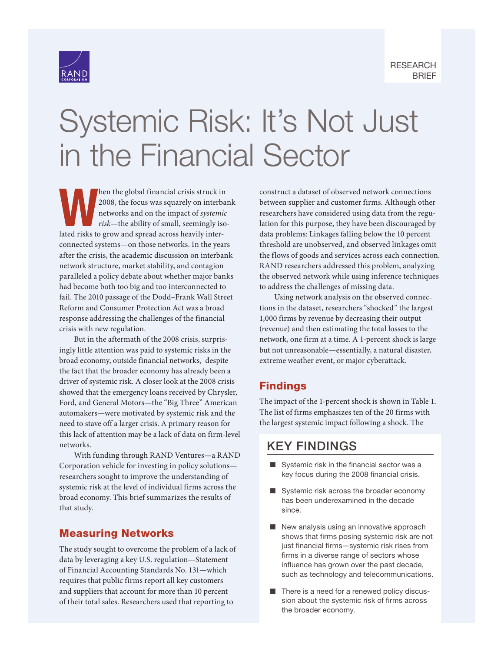



# [Systemic Risk: It's Not Just](https://www.rand.org/pubs/research_briefs/RB10112.html)  in the Financial Sector

the global financial crisis struck in<br>
2008, the focus was squarely on interbare<br>
networks and on the impact of systemic<br>
risk—the ability of small, seemingly iso<br>
lated risks to grow and spread across heavily inter-2008, the focus was squarely on interbank networks and on the impact of *systemic risk*—the ability of small, seemingly isolated risks to grow and spread across heavily interconnected systems—on those networks. In the years after the crisis, the academic discussion on interbank network structure, market stability, and contagion paralleled a policy debate about whether major banks had become both too big and too interconnected to fail. The 2010 passage of the Dodd–Frank Wall Street Reform and Consumer Protection Act was a broad response addressing the challenges of the financial crisis with new regulation.

But in the aftermath of the 2008 crisis, surprisingly little attention was paid to systemic risks in the broad economy, outside financial networks, despite the fact that the broader economy has already been a driver of systemic risk. A closer look at the 2008 crisis showed that the emergency loans received by Chrysler, Ford, and General Motors—the "Big Three" American automakers—were motivated by systemic risk and the need to stave off a larger crisis. A primary reason for this lack of attention may be a lack of data on firm-level networks.

With funding through RAND Ventures—a RAND Corporation vehicle for investing in policy solutions researchers sought to improve the understanding of systemic risk at the level of individual firms across the broad economy. This brief summarizes the results of that study.

#### Measuring Networks

The study sought to overcome the problem of a lack of data by leveraging a key U.S. regulation—Statement of Financial Accounting Standards No. 131—which requires that public firms report all key customers and suppliers that account for more than 10 percent of their total sales. Researchers used that reporting to

construct a dataset of observed network connections between supplier and customer firms. Although other researchers have considered using data from the regulation for this purpose, they have been discouraged by data problems: Linkages falling below the 10 percent threshold are unobserved, and observed linkages omit the flows of goods and services across each connection. RAND researchers addressed this problem, analyzing the observed network while using inference techniques to address the challenges of missing data.

Using network analysis on the observed connections in the dataset, researchers "shocked" the largest 1,000 firms by revenue by decreasing their output (revenue) and then estimating the total losses to the network, one firm at a time. A 1-percent shock is large but not unreasonable—essentially, a natural disaster, extreme weather event, or major cyberattack.

### Findings

The impact of the 1-percent shock is shown in Table 1. The list of firms emphasizes ten of the 20 firms with the largest systemic impact following a shock. The

## KEY FINDINGS

- Systemic risk in the financial sector was a key focus during the 2008 financial crisis.
- Systemic risk across the broader economy has been underexamined in the decade since.
- New analysis using an innovative approach shows that firms posing systemic risk are not just financial firms—systemic risk rises from firms in a diverse range of sectors whose influence has grown over the past decade, such as technology and telecommunications.
- There is a need for a renewed policy discussion about the systemic risk of firms across the broader economy.